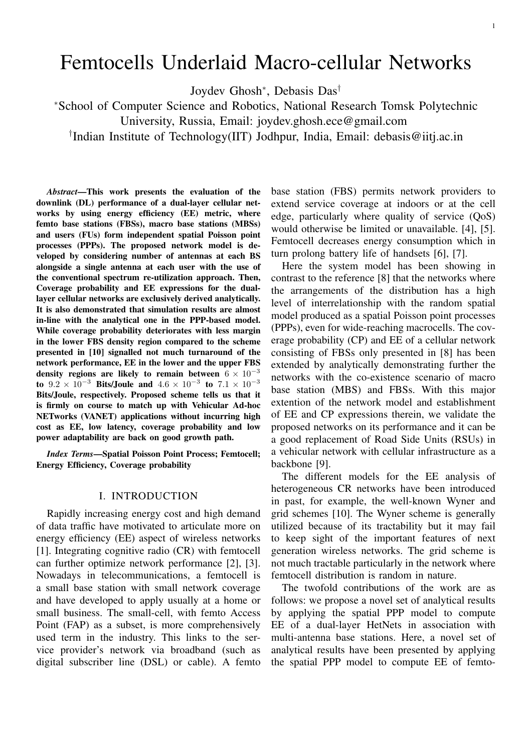# Femtocells Underlaid Macro-cellular Networks

Joydev Ghosh<sup>∗</sup> , Debasis Das†

<sup>∗</sup>School of Computer Science and Robotics, National Research Tomsk Polytechnic

University, Russia, Email: joydev.ghosh.ece@gmail.com

† Indian Institute of Technology(IIT) Jodhpur, India, Email: debasis@iitj.ac.in

*Abstract*—This work presents the evaluation of the downlink (DL) performance of a dual-layer cellular networks by using energy efficiency (EE) metric, where femto base stations (FBSs), macro base stations (MBSs) and users (FUs) form independent spatial Poisson point processes (PPPs). The proposed network model is developed by considering number of antennas at each BS alongside a single antenna at each user with the use of the conventional spectrum re-utilization approach. Then, Coverage probability and EE expressions for the duallayer cellular networks are exclusively derived analytically. It is also demonstrated that simulation results are almost in-line with the analytical one in the PPP-based model. While coverage probability deteriorates with less margin in the lower FBS density region compared to the scheme presented in [10] signalled not much turnaround of the network performance, EE in the lower and the upper FBS density regions are likely to remain between  $6 \times 10^{-3}$ to  $9.2 \times 10^{-3}$  Bits/Joule and  $4.6 \times 10^{-3}$  to  $7.1 \times 10^{-3}$ Bits/Joule, respectively. Proposed scheme tells us that it is firmly on course to match up with Vehicular Ad-hoc NETworks (VANET) applications without incurring high cost as EE, low latency, coverage probability and low power adaptability are back on good growth path.

*Index Terms*—Spatial Poisson Point Process; Femtocell; Energy Efficiency, Coverage probability

### I. INTRODUCTION

Rapidly increasing energy cost and high demand of data traffic have motivated to articulate more on energy efficiency (EE) aspect of wireless networks [1]. Integrating cognitive radio (CR) with femtocell can further optimize network performance [2], [3]. Nowadays in telecommunications, a femtocell is a small base station with small network coverage and have developed to apply usually at a home or small business. The small-cell, with femto Access Point (FAP) as a subset, is more comprehensively used term in the industry. This links to the service provider's network via broadband (such as digital subscriber line (DSL) or cable). A femto

base station (FBS) permits network providers to extend service coverage at indoors or at the cell edge, particularly where quality of service (QoS) would otherwise be limited or unavailable. [4], [5]. Femtocell decreases energy consumption which in turn prolong battery life of handsets [6], [7].

Here the system model has been showing in contrast to the reference [8] that the networks where the arrangements of the distribution has a high level of interrelationship with the random spatial model produced as a spatial Poisson point processes (PPPs), even for wide-reaching macrocells. The coverage probability (CP) and EE of a cellular network consisting of FBSs only presented in [8] has been extended by analytically demonstrating further the networks with the co-existence scenario of macro base station (MBS) and FBSs. With this major extention of the network model and establishment of EE and CP expressions therein, we validate the proposed networks on its performance and it can be a good replacement of Road Side Units (RSUs) in a vehicular network with cellular infrastructure as a backbone [9].

The different models for the EE analysis of heterogeneous CR networks have been introduced in past, for example, the well-known Wyner and grid schemes [10]. The Wyner scheme is generally utilized because of its tractability but it may fail to keep sight of the important features of next generation wireless networks. The grid scheme is not much tractable particularly in the network where femtocell distribution is random in nature.

The twofold contributions of the work are as follows: we propose a novel set of analytical results by applying the spatial PPP model to compute EE of a dual-layer HetNets in association with multi-antenna base stations. Here, a novel set of analytical results have been presented by applying the spatial PPP model to compute EE of femto-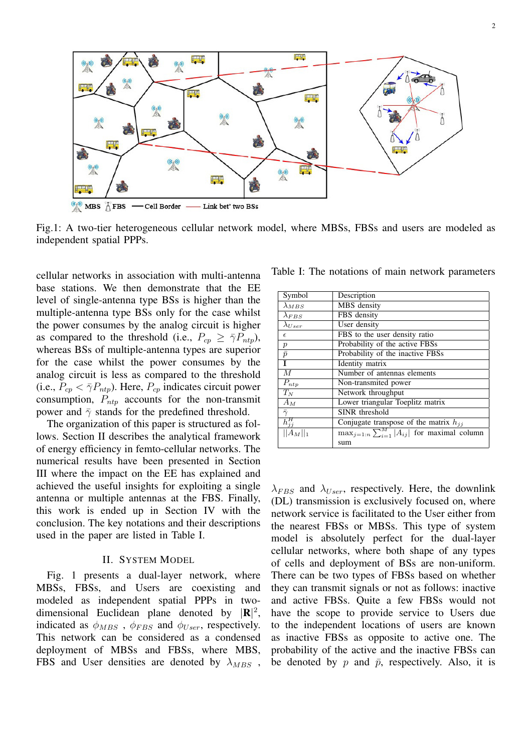

Fig.1: A two-tier heterogeneous cellular network model, where MBSs, FBSs and users are modeled as independent spatial PPPs.

cellular networks in association with multi-antenna base stations. We then demonstrate that the EE level of single-antenna type BSs is higher than the multiple-antenna type BSs only for the case whilst the power consumes by the analog circuit is higher as compared to the threshold (i.e.,  $P_{cp} \geq \bar{\gamma} P_{ntp}$ ), whereas BSs of multiple-antenna types are superior for the case whilst the power consumes by the analog circuit is less as compared to the threshold (i.e.,  $P_{cp} < \bar{\gamma} P_{ntp}$ ). Here,  $P_{cp}$  indicates circuit power consumption,  $P_{ntp}$  accounts for the non-transmit power and  $\bar{\gamma}$  stands for the predefined threshold.

The organization of this paper is structured as follows. Section II describes the analytical framework of energy efficiency in femto-cellular networks. The numerical results have been presented in Section III where the impact on the EE has explained and achieved the useful insights for exploiting a single antenna or multiple antennas at the FBS. Finally, this work is ended up in Section IV with the conclusion. The key notations and their descriptions used in the paper are listed in Table I.

#### II. SYSTEM MODEL

Fig. 1 presents a dual-layer network, where MBSs, FBSs, and Users are coexisting and modeled as independent spatial PPPs in twodimensional Euclidean plane denoted by  $|\mathbf{R}|^2$ , indicated as  $\phi_{MBS}$ ,  $\phi_{FBS}$  and  $\phi_{User}$ , respectively. This network can be considered as a condensed deployment of MBSs and FBSs, where MBS, FBS and User densities are denoted by  $\lambda_{MBS}$ ,

Table I: The notations of main network parameters

| Symbol              | Description                                             |
|---------------------|---------------------------------------------------------|
| $\lambda_{MBS}$     | MBS density                                             |
| $\lambda_{FBS}$     | FBS density                                             |
| $\lambda_{User}$    | User density                                            |
| $\epsilon$          | FBS to the user density ratio                           |
|                     | Probability of the active FBSs                          |
| $\frac{p}{\bar{p}}$ | Probability of the inactive FBSs                        |
|                     | Identity matrix                                         |
| $\overline{M}$      | Number of antennas elements                             |
| $P_{ntp}$           | Non-transmited power                                    |
| $T_N$               | Network throughput                                      |
| $A_M$               | Lower triangular Toeplitz matrix                        |
| $\bar{\gamma}$      | SINR threshold                                          |
| $h_{jj}^H$          | Conjugate transpose of the matrix $h_{ij}$              |
| $  A_M  _1$         | $\max_{j=1:n}\sum_{i=1}^{M} A_{ij} $ for maximal column |
|                     | sum                                                     |

 $\lambda_{FBS}$  and  $\lambda_{User}$ , respectively. Here, the downlink (DL) transmission is exclusively focused on, where network service is facilitated to the User either from the nearest FBSs or MBSs. This type of system model is absolutely perfect for the dual-layer cellular networks, where both shape of any types of cells and deployment of BSs are non-uniform. There can be two types of FBSs based on whether they can transmit signals or not as follows: inactive and active FBSs. Quite a few FBSs would not have the scope to provide service to Users due to the independent locations of users are known as inactive FBSs as opposite to active one. The probability of the active and the inactive FBSs can be denoted by  $p$  and  $\bar{p}$ , respectively. Also, it is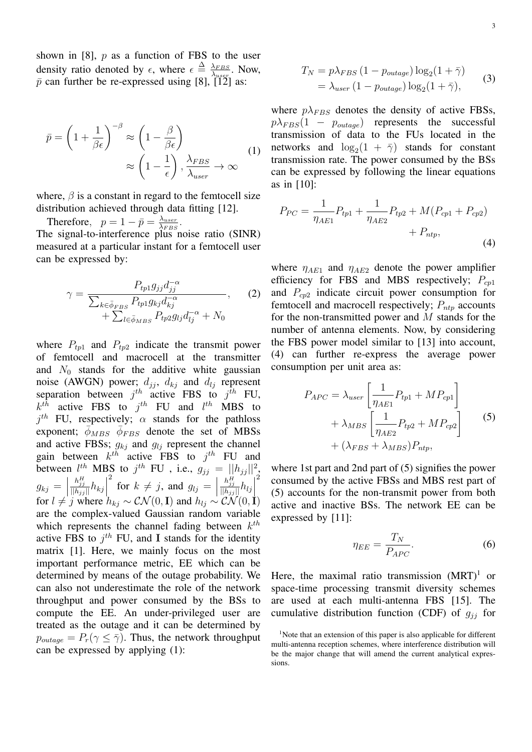shown in [8],  $p$  as a function of FBS to the user density ratio denoted by  $\epsilon$ , where  $\epsilon \triangleq \frac{\lambda_{FBS}}{\lambda_{BBS}}$  $\frac{\lambda_{FBS}}{\lambda_{user}}$ . Now,  $\bar{p}$  can further be re-expressed using [8], [12] as:

$$
\bar{p} = \left(1 + \frac{1}{\beta \epsilon}\right)^{-\beta} \approx \left(1 - \frac{\beta}{\beta \epsilon}\right) \approx \left(1 - \frac{1}{\epsilon}\right), \frac{\lambda_{FBS}}{\lambda_{user}} \to \infty \tag{1}
$$

where,  $\beta$  is a constant in regard to the femtocell size distribution achieved through data fitting [12].

Therefore,  $p = 1 - \bar{p} = \frac{\lambda_{user}}{\lambda_{BBS}}$  $\frac{\lambda_{user}}{\lambda_{FBS}}.$ The signal-to-interference plus noise ratio (SINR) measured at a particular instant for a femtocell user can be expressed by:

$$
\gamma = \frac{P_{tp1}g_{jj}d_{jj}^{-\alpha}}{\sum_{k \in \bar{\phi}_{FBS}} P_{tp1}g_{kj}d_{kj}^{-\alpha}} \qquad (2)
$$

$$
+ \sum_{l \in \bar{\phi}_{MBS}} P_{tp2}g_{lj}d_{lj}^{-\alpha} + N_0
$$

where  $P_{tp1}$  and  $P_{tp2}$  indicate the transmit power of femtocell and macrocell at the transmitter and  $N_0$  stands for the additive white gaussian noise (AWGN) power;  $d_{jj}$ ,  $d_{kj}$  and  $d_{lj}$  represent separation between  $j^{th}$  active FBS to  $j^{th}$  FU,  $k^{th}$  active FBS to  $j^{th}$  FU and  $l^{th}$  MBS to  $j<sup>th</sup>$  FU, respectively;  $\alpha$  stands for the pathloss exponent;  $\bar{\phi}_{MBS}$   $\bar{\phi}_{FBS}$  denote the set of MBSs and active FBSs;  $g_{kj}$  and  $g_{lj}$  represent the channel gain between  $k^{th}$  active FBS to  $j^{th}$  FU and between  $l^{th}$  MBS to  $j^{th}$  FU, i.e.,  $g_{jj} = ||h_{jj}||^2$ ,  $g_{kj} = \begin{vmatrix} 1 \end{vmatrix}$  $\frac{h_{jj}^H}{\|h_{jj}\|}h_{kj}$ 2 for  $k \neq j$ , and  $g_{lj} =$  $\frac{h_{jj}^H}{\|h_{jj}\|}h_{lj}\Big|$ 2 for  $l \neq j$  where  $h_{kj} \sim \mathcal{CN}(0, \mathbf{I})$  and  $h_{lj} \sim \mathcal{CN}(0, \mathbf{I})$ are the complex-valued Gaussian random variable which represents the channel fading between  $k^{th}$ active FBS to  $j^{th}$  FU, and I stands for the identity matrix [1]. Here, we mainly focus on the most important performance metric, EE which can be determined by means of the outage probability. We can also not underestimate the role of the network throughput and power consumed by the BSs to compute the EE. An under-privileged user are treated as the outage and it can be determined by  $p_{outage} = P_r(\gamma \leq \overline{\gamma})$ . Thus, the network throughput can be expressed by applying (1):

$$
T_N = p\lambda_{FBS} (1 - p_{outage}) \log_2(1 + \bar{\gamma})
$$
  
=  $\lambda_{user} (1 - p_{outage}) \log_2(1 + \bar{\gamma}),$  (3)

where  $p\lambda_{FBS}$  denotes the density of active FBSs,  $p\lambda_{FBS}(1 - p_{outage})$  represents the successful transmission of data to the FUs located in the networks and  $\log_2(1 + \overline{\gamma})$  stands for constant transmission rate. The power consumed by the BSs can be expressed by following the linear equations as in [10]:

$$
P_{PC} = \frac{1}{\eta_{AE1}} P_{tp1} + \frac{1}{\eta_{AE2}} P_{tp2} + M(P_{cp1} + P_{cp2}) + P_{ntp},
$$
\n(4)

where  $\eta_{AE1}$  and  $\eta_{AE2}$  denote the power amplifier efficiency for FBS and MBS respectively;  $P_{cp1}$ and  $P_{cp2}$  indicate circuit power consumption for femtocell and macrocell respectively;  $P_{ntp}$  accounts for the non-transmitted power and M stands for the number of antenna elements. Now, by considering the FBS power model similar to [13] into account, (4) can further re-express the average power consumption per unit area as:

$$
P_{APC} = \lambda_{user} \left[ \frac{1}{\eta_{AE1}} P_{tp1} + MP_{cp1} \right] + \lambda_{MBS} \left[ \frac{1}{\eta_{AE2}} P_{tp2} + MP_{cp2} \right] + (\lambda_{FBS} + \lambda_{MBS}) P_{ntp},
$$
 (5)

where 1st part and 2nd part of (5) signifies the power consumed by the active FBSs and MBS rest part of (5) accounts for the non-transmit power from both active and inactive BSs. The network EE can be expressed by [11]:

$$
\eta_{EE} = \frac{T_N}{P_{APC}}.\tag{6}
$$

Here, the maximal ratio transmission  $(MRT)^1$  or space-time processing transmit diversity schemes are used at each multi-antenna FBS [15]. The cumulative distribution function (CDF) of  $g_{ij}$  for

<sup>&</sup>lt;sup>1</sup>Note that an extension of this paper is also applicable for different multi-antenna reception schemes, where interference distribution will be the major change that will amend the current analytical expressions.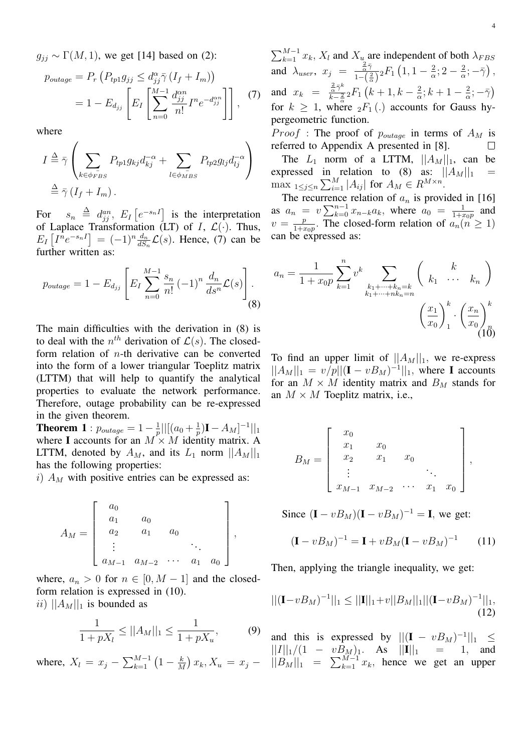$g_{ij} \sim \Gamma(M, 1)$ , we get [14] based on (2):

$$
p_{outage} = P_r \left( P_{tp1} g_{jj} \le d_{jj}^{\alpha} \overline{\gamma} \left( I_f + I_m \right) \right)
$$
  
= 1 - E<sub>d\_{jj}</sub> 
$$
\left[ E_I \left[ \sum_{n=0}^{M-1} \frac{d_{jj}^{\alpha n}}{n!} I^n e^{-d_{jj}^{\alpha n}} \right] \right], \quad (7)
$$

where

$$
I \stackrel{\Delta}{=} \bar{\gamma} \left( \sum_{k \in \phi_{FBS}} P_{tp1} g_{kj} d_{kj}^{-\alpha} + \sum_{l \in \phi_{MBS}} P_{tp2} g_{lj} d_{lj}^{-\alpha} \right)
$$
  

$$
\stackrel{\Delta}{=} \bar{\gamma} (I_f + I_m).
$$

For  $s_n \triangleq d_{jj}^{an}$ ,  $E_I[e^{-s_n I}]$  is the interpretation of Laplace Transformation (LT) of I,  $\mathcal{L}(\cdot)$ . Thus,  $E_I\left[I^n e^{-s_n I}\right] = (-1)^n \frac{d_n}{dS_n} \mathcal{L}(s)$ . Hence, (7) can be further written as:

$$
p_{outage} = 1 - E_{d_{jj}} \left[ E_I \sum_{n=0}^{M-1} \frac{s_n}{n!} (-1)^n \frac{d_n}{ds^n} \mathcal{L}(s) \right].
$$
 (8)

The main difficulties with the derivation in (8) is to deal with the  $n^{th}$  derivation of  $\mathcal{L}(s)$ . The closedform relation of  $n$ -th derivative can be converted into the form of a lower triangular Toeplitz matrix (LTTM) that will help to quantify the analytical properties to evaluate the network performance. Therefore, outage probability can be re-expressed in the given theorem.

**Theorem 1**:  $p_{outage} = 1 - \frac{1}{n}$  $\frac{1}{p}$ ||[ $(a_0 + \frac{1}{p})$  $\frac{1}{p}$ )**I** –  $A_M$ ]<sup>-1</sup>||<sub>1</sub> where I accounts for an  $M \times M$  identity matrix. A LTTM, denoted by  $A_M$ , and its  $L_1$  norm  $||A_M||_1$ has the following properties:

i)  $A_M$  with positive entries can be expressed as:

$$
A_M = \begin{bmatrix} a_0 \\ a_1 & a_0 \\ a_2 & a_1 & a_0 \\ \vdots & & \ddots \\ a_{M-1} & a_{M-2} & \cdots & a_1 & a_0 \end{bmatrix},
$$

where,  $a_n > 0$  for  $n \in [0, M - 1]$  and the closedform relation is expressed in (10). ii)  $||A_M||_1$  is bounded as

$$
\frac{1}{1+pX_l} \le ||A_M||_1 \le \frac{1}{1+pX_u},
$$
\n(9)

where,  $X_l = x_j - \sum_{k=1}^{M-1} (1 - \frac{k}{M})$  $\frac{k}{M}$ )  $x_k, X_u = x_j -$ 

 $\sum_{k=1}^{M-1} x_k$ ,  $X_l$  and  $X_{u}$  are independent of both  $\lambda_{FBS}$ and  $\lambda_{user}, x_j = \frac{\frac{2}{\alpha}\bar{\gamma}}{1-\bar{\gamma}}$  $\frac{\frac{2}{\alpha}\gamma}{1-\left(\frac{2}{\alpha}\right)}{}_2F_1\left(1,1-\frac{2}{\alpha}\right)$  $\frac{2}{\alpha}$ ; 2 –  $\frac{2}{\alpha}$  $\frac{2}{\alpha};-\bar{\gamma}\big)$  , and  $x_k = \frac{\frac{2}{\alpha} \bar{\gamma}^k}{k-2}$  $\frac{\frac{2}{\alpha}\gamma^{\alpha}}{k-\frac{2}{\alpha}}{}_2F_1\left(k+1,k-\frac{2}{\alpha}\right)$  $\frac{2}{\alpha}$ ;  $k+1-\frac{2}{\alpha}$  $\frac{2}{\alpha};-\bar{\gamma}$ for  $k \geq 1$ , where  ${}_2F_1(.)$  accounts for Gauss hypergeometric function.

*Proof* : The proof of  $p_{outage}$  in terms of  $A_M$  is referred to Appendix A presented in [8].  $\Box$ 

The  $L_1$  norm of a LTTM,  $||A_M||_1$ , can be expressed in relation to (8) as:  $||A_M||_1$  = max  $1 \leq j \leq n$   $\sum_{i=1}^{M} |A_{ij}|$  for  $A_M \in R^{M \times n}$ .

The recurrence relation of  $a_n$  is provided in [16] as  $a_n = v \sum_{k=0}^{n-1} x_{n-k} a_k$ , where  $a_0 = \frac{1}{1+a}$  $\frac{1}{1+x_0p}$  and  $v=\frac{p}{1+z}$  $\frac{p}{1+x_0p}$ . The closed-form relation of  $a_n(n \geq 1)$ can be expressed as:

$$
a_n = \frac{1}{1 + x_0 p} \sum_{k=1}^n v^k \sum_{\substack{k_1 + \dots + k_n = k \\ k_1 + \dots + nk_n = n}} \binom{k}{k_1 + \dots + k_n}
$$

$$
\left(\frac{x_1}{x_0}\right)_1^k \cdot \left(\frac{x_n}{x_0}\right)_0^k
$$

$$
(10)
$$

To find an upper limit of  $||A_M||_1$ , we re-express  $||A_M||_1 = v/p||(I - vB_M)^{-1}||_1$ , where I accounts for an  $M \times M$  identity matrix and  $B_M$  stands for an  $M \times M$  Toeplitz matrix, i.e.,

$$
B_M = \begin{bmatrix} x_0 \\ x_1 & x_0 \\ x_2 & x_1 & x_0 \\ \vdots & & \ddots \\ x_{M-1} & x_{M-2} & \cdots & x_1 & x_0 \end{bmatrix},
$$

Since  $(I - vB_M)(I - vB_M)^{-1} = I$ , we get:

$$
(\mathbf{I} - vB_M)^{-1} = \mathbf{I} + vB_M(\mathbf{I} - vB_M)^{-1} \qquad (11)
$$

Then, applying the triangle inequality, we get:

$$
||(\mathbf{I} - vB_M)^{-1}||_1 \le ||\mathbf{I}||_1 + v||B_M||_1 ||(\mathbf{I} - vB_M)^{-1}||_1,
$$
\n(12)

and this is expressed by  $||(I - vB_M)^{-1}||_1 \leq$  $||I||_1/(1 - vB_M)_1$ . As  $||I||_1 = 1$ , and  $||B_M||_1 = \sum_{k=1}^{M-1} x_k$ , hence we get an upper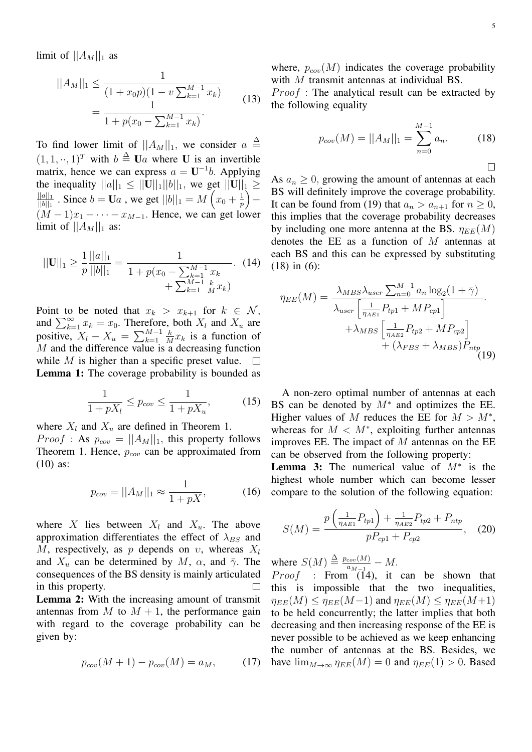limit of  $||A_M||_1$  as

$$
||A_M||_1 \le \frac{1}{(1+x_0p)(1-v\sum_{k=1}^{M-1}x_k)}
$$
  
= 
$$
\frac{1}{1+p(x_0-\sum_{k=1}^{M-1}x_k)}.
$$
 (13)

To find lower limit of  $||A_M||_1$ , we consider  $a \triangleq$  $(1, 1, \dots, 1)^T$  with  $b \triangleq \mathbf{U}a$  where **U** is an invertible matrix, hence we can express  $a = U^{-1}b$ . Applying the inequality  $||a||_1 \le ||\mathbf{U}||_1 ||b||_1$ , we get  $||\mathbf{U}||_1 \ge ||\mathbf{U}||_1$  $||a||_1$  $\frac{||a||_1}{||b||_1}$  . Since  $b=\mathbf{U}a$  , we get  $||b||_1=M\left(x_0+\frac{1}{p}\right)$  $\frac{1}{p}$   $\Big)$   $(M-1)x_1 - \cdots - x_{M-1}$ . Hence, we can get lower limit of  $||A_M||_1$  as:

$$
||\mathbf{U}||_1 \ge \frac{1}{p} \frac{||a||_1}{||b||_1} = \frac{1}{1 + p(x_0 - \sum_{k=1}^{M-1} x_k + \sum_{k=1}^{M-1} \frac{k}{M} x_k)}.
$$
 (14)

Point to be noted that  $x_k > x_{k+1}$  for  $k \in \mathcal{N}$ , and  $\sum_{k=1}^{\infty} x_k = x_0$ . Therefore, both  $X_l$  and  $X_u$  are positive,  $X_l - X_u = \sum_{k=1}^{M-1}$ k  $\frac{k}{M}x_k$  is a function of  $M$  and the difference value is a decreasing function while M is higher than a specific preset value.  $\Box$ Lemma 1: The coverage probability is bounded as

$$
\frac{1}{1+pX_l} \le p_{cov} \le \frac{1}{1+pX_u},\tag{15}
$$

where  $X_l$  and  $X_u$  are defined in Theorem 1. *Proof* : As  $p_{cov} = ||A_M||_1$ , this property follows Theorem 1. Hence,  $p_{cov}$  can be approximated from (10) as:

$$
p_{cov} = ||A_M||_1 \approx \frac{1}{1 + pX},
$$
 (16)

where X lies between  $X_l$  and  $X_u$ . The above approximation differentiates the effect of  $\lambda_{BS}$  and M, respectively, as p depends on  $v$ , whereas  $X_l$ and  $X_u$  can be determined by M,  $\alpha$ , and  $\bar{\gamma}$ . The consequences of the BS density is mainly articulated in this property.  $\Box$ 

Lemma 2: With the increasing amount of transmit antennas from M to  $M + 1$ , the performance gain with regard to the coverage probability can be given by:

$$
p_{cov}(M+1) - p_{cov}(M) = a_M, \qquad (17)
$$

where,  $p_{cov}(M)$  indicates the coverage probability with M transmit antennas at individual BS.

 $Proof$ : The analytical result can be extracted by the following equality

$$
p_{cov}(M) = ||A_M||_1 = \sum_{n=0}^{M-1} a_n.
$$
 (18)

 $\Box$ 

As  $a_n \geq 0$ , growing the amount of antennas at each BS will definitely improve the coverage probability. It can be found from (19) that  $a_n > a_{n+1}$  for  $n \ge 0$ , this implies that the coverage probability decreases by including one more antenna at the BS.  $\eta_{EE}(M)$ denotes the EE as a function of  $M$  antennas at each BS and this can be expressed by substituting (18) in (6):

$$
\eta_{EE}(M) = \frac{\lambda_{MBS}\lambda_{user} \sum_{n=0}^{M-1} a_n \log_2(1+\bar{\gamma})}{\lambda_{user} \left[\frac{1}{\eta_{AE1}} P_{tp1} + M P_{cp1}\right]} + \lambda_{MBS} \left[\frac{1}{\eta_{AE2}} P_{tp2} + M P_{cp2}\right] + (\lambda_{FBS} + \lambda_{MBS}) P_{ntp}
$$
(19)

A non-zero optimal number of antennas at each BS can be denoted by  $M^*$  and optimizes the EE. Higher values of M reduces the EE for  $M > M^*$ , whereas for  $M < M^*$ , exploiting further antennas improves EE. The impact of  $M$  antennas on the EE can be observed from the following property:

**Lemma 3:** The numerical value of  $M^*$  is the highest whole number which can become lesser compare to the solution of the following equation:

$$
S(M) = \frac{p\left(\frac{1}{\eta_{AE1}}P_{tp1}\right) + \frac{1}{\eta_{AE2}}P_{tp2} + P_{ntp}}{pP_{cp1} + P_{cp2}},\quad(20)
$$

where  $S(M) \triangleq \frac{p_{cov}(M)}{q_{M-1}}$  $\frac{cov(M)}{a_{M-1}}-M.$ 

*Proof* : From (14), it can be shown that this is impossible that the two inequalities,  $\eta_{EE}(M) \leq \eta_{EE}(M-1)$  and  $\eta_{EE}(M) \leq \eta_{EE}(M+1)$ to be held concurrently; the latter implies that both decreasing and then increasing response of the EE is never possible to be achieved as we keep enhancing the number of antennas at the BS. Besides, we have  $\lim_{M\to\infty}$   $\eta_{EE}(M) = 0$  and  $\eta_{EE}(1) > 0$ . Based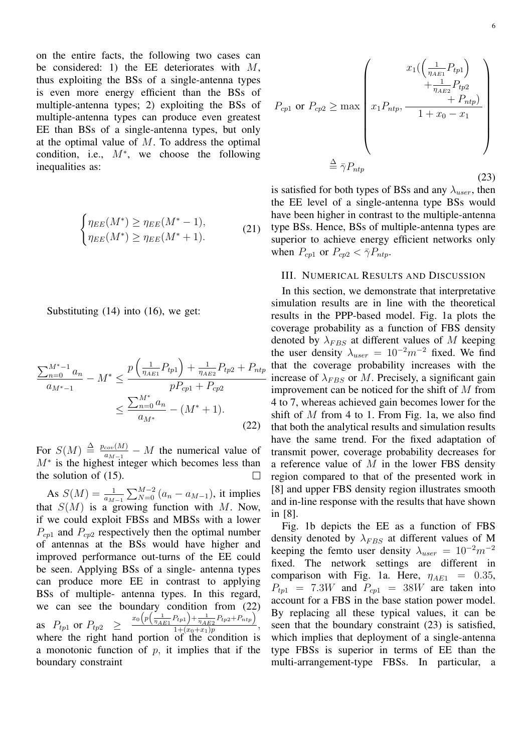on the entire facts, the following two cases can be considered: 1) the EE deteriorates with  $M$ , thus exploiting the BSs of a single-antenna types is even more energy efficient than the BSs of multiple-antenna types; 2) exploiting the BSs of multiple-antenna types can produce even greatest EE than BSs of a single-antenna types, but only at the optimal value of  $M$ . To address the optimal condition, i.e.,  $M^*$ , we choose the following inequalities as:

$$
\begin{cases} \eta_{EE}(M^*) \ge \eta_{EE}(M^*-1), \\ \eta_{EE}(M^*) \ge \eta_{EE}(M^*+1). \end{cases}
$$
 (21)

Substituting (14) into (16), we get:

$$
\frac{\sum_{n=0}^{M^*-1} a_n}{a_{M^*-1}} - M^* \le \frac{p\left(\frac{1}{\eta_{AE1}} P_{tp1}\right) + \frac{1}{\eta_{AE2}} P_{tp2} + P_{ntp}}{pP_{cp1} + P_{cp2}} \le \frac{\sum_{n=0}^{M^*} a_n}{a_{M^*}} - (M^* + 1).
$$
\n(22)

For  $S(M) \triangleq \frac{p_{cov}(M)}{q_{M-1}}$  $\frac{cov(M)}{a_{M-1}} - M$  the numerical value of  $M^*$  is the highest integer which becomes less than the solution of (15).

As  $S(M) = \frac{1}{a_{M-1}} \sum_{N=0}^{M-2} (a_n - a_{M-1})$ , it implies that  $S(M)$  is a growing function with M. Now, if we could exploit FBSs and MBSs with a lower  $P_{cp1}$  and  $P_{cp2}$  respectively then the optimal number of antennas at the BSs would have higher and improved performance out-turns of the EE could be seen. Applying BSs of a single- antenna types can produce more EE in contrast to applying BSs of multiple- antenna types. In this regard, we can see the boundary condition from (22) as  $P_{tp1}$  or  $P_{tp2} \geq \frac{x_0 \left( p \left( \frac{1}{\eta_{AE1}} P_{tp1} \right) + \frac{1}{\eta_{AE2}} P_{tp2} + P_{ntp} \right)}{1 + (x_0 + x_1)p}$  $\frac{\eta_{A E2} - \mu_{P2} + \mu_{CP}}{1 + (x_0 + x_1)p},$ where the right hand portion of the condition is a monotonic function of  $p$ , it implies that if the boundary constraint

$$
P_{cp1} \text{ or } P_{cp2} \ge \max \left( x_1 \left( \frac{1}{\eta_{AE1}} P_{tp1} \right) + \frac{1}{\eta_{AE2}} P_{tp2} + P_{ntp} \right)
$$
  

$$
\stackrel{\triangle}{=} \bar{\gamma} P_{ntp}
$$
 (23)

is satisfied for both types of BSs and any  $\lambda_{user}$ , then the EE level of a single-antenna type BSs would have been higher in contrast to the multiple-antenna type BSs. Hence, BSs of multiple-antenna types are superior to achieve energy efficient networks only when  $P_{cp1}$  or  $P_{cp2} < \overline{\gamma} P_{ntp}$ .

### III. NUMERICAL RESULTS AND DISCUSSION

In this section, we demonstrate that interpretative simulation results are in line with the theoretical results in the PPP-based model. Fig. 1a plots the coverage probability as a function of FBS density denoted by  $\lambda_{FBS}$  at different values of M keeping the user density  $\lambda_{user} = 10^{-2} m^{-2}$  fixed. We find  $_{n}$  that the coverage probability increases with the - increase of  $\lambda_{FBS}$  or M. Precisely, a significant gain improvement can be noticed for the shift of  $M$  from 4 to 7, whereas achieved gain becomes lower for the shift of  $M$  from 4 to 1. From Fig. 1a, we also find that both the analytical results and simulation results have the same trend. For the fixed adaptation of transmit power, coverage probability decreases for a reference value of  $M$  in the lower FBS density region compared to that of the presented work in [8] and upper FBS density region illustrates smooth and in-line response with the results that have shown in [8].

Fig. 1b depicts the EE as a function of FBS density denoted by  $\lambda_{FBS}$  at different values of M keeping the femto user density  $\lambda_{user} = 10^{-2} m^{-2}$ fixed. The network settings are different in comparison with Fig. 1a. Here,  $\eta_{AE1}$  = 0.35,  $P_{tp1}$  = 7.3W and  $P_{cp1}$  = 38W are taken into account for a FBS in the base station power model. By replacing all these typical values, it can be seen that the boundary constraint (23) is satisfied, which implies that deployment of a single-antenna type FBSs is superior in terms of EE than the multi-arrangement-type FBSs. In particular, a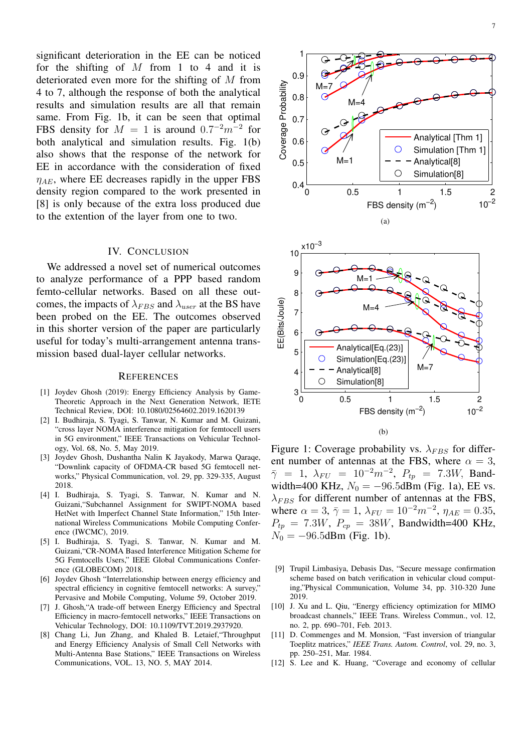significant deterioration in the EE can be noticed for the shifting of  $M$  from 1 to 4 and it is deteriorated even more for the shifting of M from 4 to 7, although the response of both the analytical results and simulation results are all that remain same. From Fig. 1b, it can be seen that optimal FBS density for  $M = 1$  is around  $0.7^{-2}m^{-2}$  for both analytical and simulation results. Fig. 1(b) also shows that the response of the network for EE in accordance with the consideration of fixed  $\eta_{AE}$ , where EE decreases rapidly in the upper FBS density region compared to the work presented in [8] is only because of the extra loss produced due to the extention of the layer from one to two.

## IV. CONCLUSION

We addressed a novel set of numerical outcomes to analyze performance of a PPP based random femto-cellular networks. Based on all these outcomes, the impacts of  $\lambda_{FBS}$  and  $\lambda_{user}$  at the BS have been probed on the EE. The outcomes observed in this shorter version of the paper are particularly useful for today's multi-arrangement antenna transmission based dual-layer cellular networks.

#### **REFERENCES**

- [1] Joydev Ghosh (2019): Energy Efficiency Analysis by Game-Theoretic Approach in the Next Generation Network, IETE Technical Review, DOI: 10.1080/02564602.2019.1620139
- [2] I. Budhiraja, S. Tyagi, S. Tanwar, N. Kumar and M. Guizani, "cross layer NOMA interference mitigation for femtocell users in 5G environment," IEEE Transactions on Vehicular Technology, Vol. 68, No. 5, May 2019.
- [3] Joydev Ghosh, Dushantha Nalin K Jayakody, Marwa Qaraqe, "Downlink capacity of OFDMA-CR based 5G femtocell networks," Physical Communication, vol. 29, pp. 329-335, August 2018.
- [4] I. Budhiraja, S. Tyagi, S. Tanwar, N. Kumar and N. Guizani,"Subchannel Assignment for SWIPT-NOMA based HetNet with Imperfect Channel State Information," 15th International Wireless Communications Mobile Computing Conference (IWCMC), 2019.
- [5] I. Budhiraja, S. Tyagi, S. Tanwar, N. Kumar and M. Guizani,"CR-NOMA Based Interference Mitigation Scheme for 5G Femtocells Users," IEEE Global Communications Conference (GLOBECOM) 2018.
- [6] Joydev Ghosh "Interrelationship between energy efficiency and spectral efficiency in cognitive femtocell networks: A survey," Pervasive and Mobile Computing, Volume 59, October 2019.
- [7] J. Ghosh,"A trade-off between Energy Efficiency and Spectral Efficiency in macro-femtocell networks," IEEE Transactions on Vehicular Technology, DOI: 10.1109/TVT.2019.2937920.
- [8] Chang Li, Jun Zhang, and Khaled B. Letaief,"Throughput and Energy Efficiency Analysis of Small Cell Networks with Multi-Antenna Base Stations," IEEE Transactions on Wireless Communications, VOL. 13, NO. 5, MAY 2014.





1

Figure 1: Coverage probability vs.  $\lambda_{FBS}$  for different number of antennas at the FBS, where  $\alpha = 3$ ,  $\bar{\gamma}$  = 1,  $\lambda_{FU}$  = 10<sup>-2</sup>m<sup>-2</sup>,  $P_{tp}$  = 7.3W, Bandwidth=400 KHz,  $N_0 = -96.5$ dBm (Fig. 1a), EE vs.  $\lambda_{FBS}$  for different number of antennas at the FBS, where  $\alpha = 3$ ,  $\bar{\gamma} = 1$ ,  $\lambda_{FU} = 10^{-2}m^{-2}$ ,  $\eta_{AE} = 0.35$ ,  $P_{tp} = 7.3W, P_{cp} = 38W,$  Bandwidth=400 KHz,  $N_0 = -96.5$ dBm (Fig. 1b).

- [9] Trupil Limbasiya, Debasis Das, "Secure message confirmation scheme based on batch verification in vehicular cloud computing,"Physical Communication, Volume 34, pp. 310-320 June 2019.
- [10] J. Xu and L. Qiu, "Energy efficiency optimization for MIMO broadcast channels," IEEE Trans. Wireless Commun., vol. 12, no. 2, pp. 690–701, Feb. 2013.
- [11] D. Commenges and M. Monsion, "Fast inversion of triangular Toeplitz matrices," *IEEE Trans. Autom. Control*, vol. 29, no. 3, pp. 250–251, Mar. 1984.
- [12] S. Lee and K. Huang, "Coverage and economy of cellular